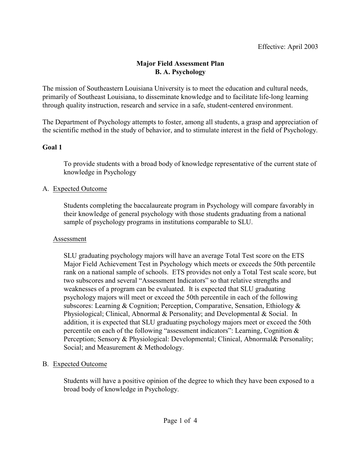### **Major Field Assessment Plan B. A. Psychology**

The mission of Southeastern Louisiana University is to meet the education and cultural needs, primarily of Southeast Louisiana, to disseminate knowledge and to facilitate life-long learning through quality instruction, research and service in a safe, student-centered environment.

The Department of Psychology attempts to foster, among all students, a grasp and appreciation of the scientific method in the study of behavior, and to stimulate interest in the field of Psychology.

### **Goal 1**

To provide students with a broad body of knowledge representative of the current state of knowledge in Psychology

### A. Expected Outcome

Students completing the baccalaureate program in Psychology will compare favorably in their knowledge of general psychology with those students graduating from a national sample of psychology programs in institutions comparable to SLU.

### Assessment

SLU graduating psychology majors will have an average Total Test score on the ETS Major Field Achievement Test in Psychology which meets or exceeds the 50th percentile rank on a national sample of schools. ETS provides not only a Total Test scale score, but two subscores and several "Assessment Indicators" so that relative strengths and weaknesses of a program can be evaluated. It is expected that SLU graduating psychology majors will meet or exceed the 50th percentile in each of the following subscores: Learning & Cognition; Perception, Comparative, Sensation, Ethiology & Physiological; Clinical, Abnormal & Personality; and Developmental & Social. In addition, it is expected that SLU graduating psychology majors meet or exceed the 50th percentile on each of the following "assessment indicators": Learning, Cognition & Perception; Sensory & Physiological: Developmental; Clinical, Abnormal& Personality; Social; and Measurement & Methodology.

# B. Expected Outcome

Students will have a positive opinion of the degree to which they have been exposed to a broad body of knowledge in Psychology.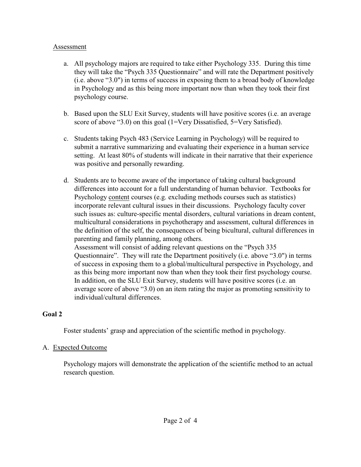#### Assessment

- a. All psychology majors are required to take either Psychology 335. During this time they will take the "Psych 335 Questionnaire" and will rate the Department positively (i.e. above "3.0") in terms of success in exposing them to a broad body of knowledge in Psychology and as this being more important now than when they took their first psychology course.
- b. Based upon the SLU Exit Survey, students will have positive scores (i.e. an average score of above "3.0) on this goal (1=Very Dissatisfied, 5=Very Satisfied).
- c. Students taking Psych 483 (Service Learning in Psychology) will be required to submit a narrative summarizing and evaluating their experience in a human service setting. At least 80% of students will indicate in their narrative that their experience was positive and personally rewarding.
- d. Students are to become aware of the importance of taking cultural background differences into account for a full understanding of human behavior. Textbooks for Psychology content courses (e.g. excluding methods courses such as statistics) incorporate relevant cultural issues in their discussions. Psychology faculty cover such issues as: culture-specific mental disorders, cultural variations in dream content, multicultural considerations in psychotherapy and assessment, cultural differences in the definition of the self, the consequences of being bicultural, cultural differences in parenting and family planning, among others.

Assessment will consist of adding relevant questions on the "Psych 335 Questionnaire". They will rate the Department positively (i.e. above "3.0") in terms of success in exposing them to a global/multicultural perspective in Psychology, and as this being more important now than when they took their first psychology course. In addition, on the SLU Exit Survey, students will have positive scores (i.e. an average score of above "3.0) on an item rating the major as promoting sensitivity to individual/cultural differences.

# **Goal 2**

Foster students' grasp and appreciation of the scientific method in psychology.

# A. Expected Outcome

Psychology majors will demonstrate the application of the scientific method to an actual research question.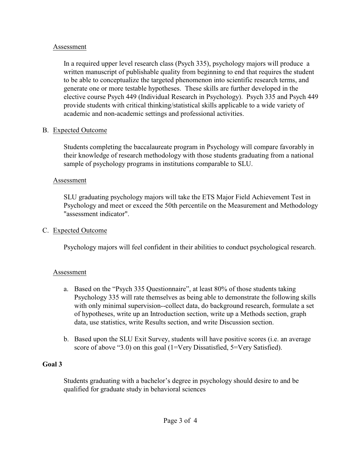#### Assessment

In a required upper level research class (Psych 335), psychology majors will produce a written manuscript of publishable quality from beginning to end that requires the student to be able to conceptualize the targeted phenomenon into scientific research terms, and generate one or more testable hypotheses. These skills are further developed in the elective course Psych 449 (Individual Research in Psychology). Psych 335 and Psych 449 provide students with critical thinking/statistical skills applicable to a wide variety of academic and non-academic settings and professional activities.

### B. Expected Outcome

Students completing the baccalaureate program in Psychology will compare favorably in their knowledge of research methodology with those students graduating from a national sample of psychology programs in institutions comparable to SLU.

### Assessment

SLU graduating psychology majors will take the ETS Major Field Achievement Test in Psychology and meet or exceed the 50th percentile on the Measurement and Methodology "assessment indicator".

### C. Expected Outcome

Psychology majors will feel confident in their abilities to conduct psychological research.

# Assessment

- a. Based on the "Psych 335 Questionnaire", at least 80% of those students taking Psychology 335 will rate themselves as being able to demonstrate the following skills with only minimal supervision--collect data, do background research, formulate a set of hypotheses, write up an Introduction section, write up a Methods section, graph data, use statistics, write Results section, and write Discussion section.
- b. Based upon the SLU Exit Survey, students will have positive scores (i.e. an average score of above "3.0) on this goal (1=Very Dissatisfied, 5=Very Satisfied).

# **Goal 3**

Students graduating with a bachelor's degree in psychology should desire to and be qualified for graduate study in behavioral sciences